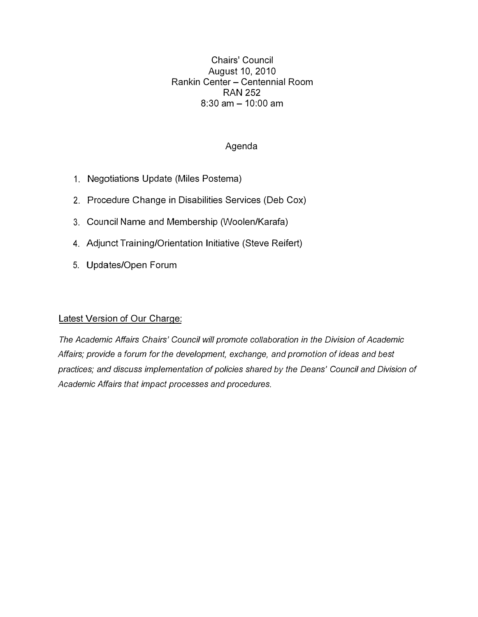Chairs' Council August 10, 2010 Rankin Center - Centennial Room **RAN 252**   $8:30$  am  $-10:00$  am

#### Agenda

- 1. Negotiations Update (Miles Postema)
- 2. Procedure Change in Disabilities Services (Deb Cox)
- 3. Council Name and Membership (Woolen/Karafa)
- 4. Adjunct Training/Orientation Initiative (Steve Reifert)
- 5. Updates/Open Forum

#### Latest Version of Our Charge:

*The Academic Affairs Chairs' Council will promote collaboration in the Division of Academic Affairs; provide* a *forum for the development, exchange, and promotion of ideas and best practices; and discuss implementation of policies shared by the Deans' Council and Division of Academic Affairs that impact processes and procedures.*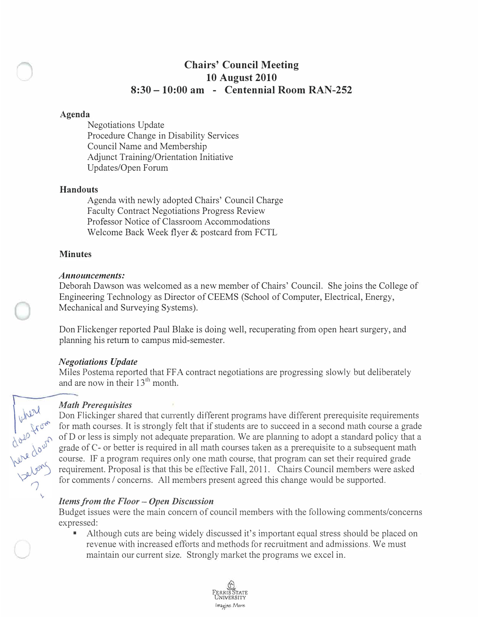# **Chairs' Council Meeting 10 August 2010 8:30 -10:00 am - Centennial Room RAN-252**

#### **Agenda**

Negotiations Update Procedure Change in Disability Services Council Name and Membership Adjunct Training/Orientation Initiative Updates/Open Forum

#### **Handouts**

Agenda with newly adopted Chairs' Council Charge Faculty Contract Negotiations Progress Review Professor Notice of Classroom Accommodations Welcome Back Week flyer & postcard from FCTL

# **Minutes**

#### *Announcements:*

Deborah Dawson was welcomed as a new member of Chairs' Council. She joins the College of Engineering Technology as Director of CEEMS (School of Computer, Electrical, Energy, Mechanical and Surveying Systems).

Don Flickenger reported Paul Blake is doing well, recuperating from open heart surgery, and planning his return to campus mid-semester.

# *Negotiations Update*

Miles Postema reported that FFA contract negotiations are progressing slowly but deliberately and are now in their  $13<sup>th</sup>$  month.

# *Math Prerequisites*

Don Flickinger shared that currently different programs have different prerequisite requirements for math courses. It is strongly felt that if students are to succeed in a second math course a grade of D or less is simply not adequate preparation. We are planning to adopt a standard policy that a grade of C- or better is required in all math courses taken as a prerequisite to a subsequent math course. IF a program requires only one math course, that program can set their required grade requirement. Proposal is that this be effective Fall, 2011. Chairs Council members were asked for comments / concerns. All members present agreed this change would be supported.

# *Items from the Floor - Open Discussion*

Budget issues were the main concern of council members with the following comments/concerns expressed: • Although cuts are being widely discussed it's important equal stress should be placed on

revenue with increased efforts and methods for recruitment and admissions. We must maintain our current size. Strongly market the programs we excel in.



below them